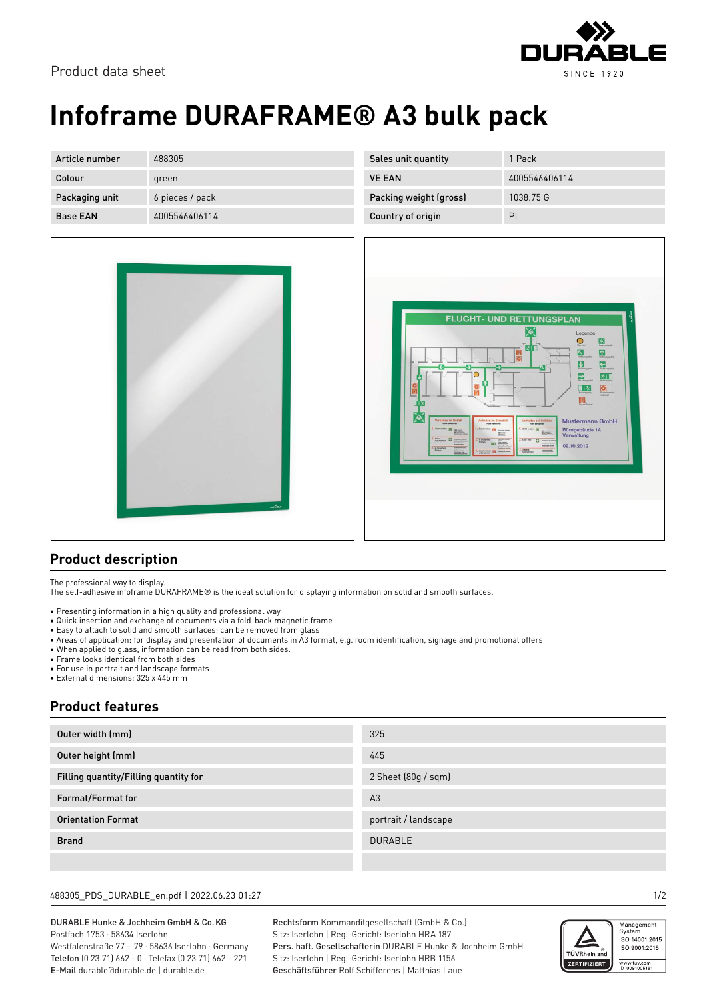

# **Infoframe DURAFRAME® A3 bulk pack**

| Article number  | 488305          | Sales unit quantity    | 1 Pack        |
|-----------------|-----------------|------------------------|---------------|
| Colour          | green           | <b>VE EAN</b>          | 4005546406114 |
| Packaging unit  | 6 pieces / pack | Packing weight (gross) | 1038.75 G     |
| <b>Base EAN</b> | 4005546406114   | Country of origin      | PL            |



|                                 | contact<br><b>FLUCHT- UND RETTUNGSPLAN</b><br>ř.<br>Legende<br>$\overline{\mathbb{Q}}$<br>図<br>区<br>$\sqrt{2}$<br>$\sum_{\text{reduced}}$<br>$\Omega_{\rm{meas}}$<br>$\overline{\bullet}$<br>$\frac{1}{\text{homopole}}$<br>$\epsilon$<br>ĸ                                                                                                                                                                                                                                                                                                                                                                                                                                                                               |
|---------------------------------|---------------------------------------------------------------------------------------------------------------------------------------------------------------------------------------------------------------------------------------------------------------------------------------------------------------------------------------------------------------------------------------------------------------------------------------------------------------------------------------------------------------------------------------------------------------------------------------------------------------------------------------------------------------------------------------------------------------------------|
| $\frac{1}{\sqrt{2}}$<br>ПR<br>Ā | $\sum_{\text{Rernyath}}$<br>名工<br>$\frac{1}{2}$<br>$\frac{1}{N}$<br>$\begin{array}{c} \hline \blacksquare \\ \rule{0.1cm}{0.15cm} \rule{0.1cm}{0.15cm} \rule{0.1cm}{0.15cm} \rule{0.1cm}{0.15cm} \rule{0.1cm}{0.15cm} \rule{0.1cm}{0.15cm} \rule{0.1cm}{0.15cm} \rule{0.1cm}{0.15cm} \rule{0.1cm}{0.15cm} \rule{0.1cm}{0.15cm} \rule{0.1cm}{0.15cm} \rule{0.1cm}{0.15cm} \rule{0.1cm}{0.15cm} \rule{0.1cm}{0.15cm} \rule{0.1cm}{0$<br>$\frac{1}{2}$<br>Verhalten bei Unfällen<br><b>Mustermann GmbH</b><br>Verhalten im Notfall<br>Verhalten im Brandfall<br>1. Alam matches [5]<br>Bürogebäude 1A<br>L. Bond netter<br>L. Districtor [3]<br>m<br><b>Minimal</b><br>Verwaltung<br>2. in Siderland<br>2.09198<br><b>E3</b> |
|                                 | <b>LES</b><br>09.10.2012<br>3. m Sizienet<br>Vikitere<br>3. Leatherman [7]                                                                                                                                                                                                                                                                                                                                                                                                                                                                                                                                                                                                                                                |

#### **Product description**

The professional way to display.

The self-adhesive infoframe DURAFRAME® is the ideal solution for displaying information on solid and smooth surfaces.

- Presenting information in a high quality and professional way
- Quick insertion and exchange of documents via a fold-back magnetic frame
- Easy to attach to solid and smooth surfaces; can be removed from glass
- Areas of application: for display and presentation of documents in A3 format, e.g. room identification, signage and promotional offers
- When applied to glass, information can be read from both sides.
- Frame looks identical from both sides
- For use in portrait and landscape formats
- External dimensions: 325 x 445 mm

### **Product features**

| Outer width (mm)                      | 325                  |
|---------------------------------------|----------------------|
| Outer height (mm)                     | 445                  |
| Filling quantity/Filling quantity for | 2 Sheet (80g / sqm)  |
| Format/Format for                     | A <sub>3</sub>       |
| <b>Orientation Format</b>             | portrait / landscape |
| <b>Brand</b>                          | <b>DURABLE</b>       |
|                                       |                      |

#### 488305\_PDS\_DURABLE\_en.pdf | 2022.06.23 01:27 1/2

DURABLE Hunke & Jochheim GmbH & Co.KG Postfach 1753 · 58634 Iserlohn Westfalenstraße 77 – 79 · 58636 Iserlohn · Germany Telefon (0 23 71) 662 - 0 · Telefax (0 23 71) 662 - 221 E-Mail durable@durable.de | durable.de

Rechtsform Kommanditgesellschaft (GmbH & Co.) Sitz: Iserlohn | Reg.-Gericht: Iserlohn HRA 187 Pers. haft. Gesellschafterin DURABLE Hunke & Jochheim GmbH Sitz: Iserlohn | Reg.-Gericht: Iserlohn HRB 1156 Geschäftsführer Rolf Schifferens | Matthias Laue